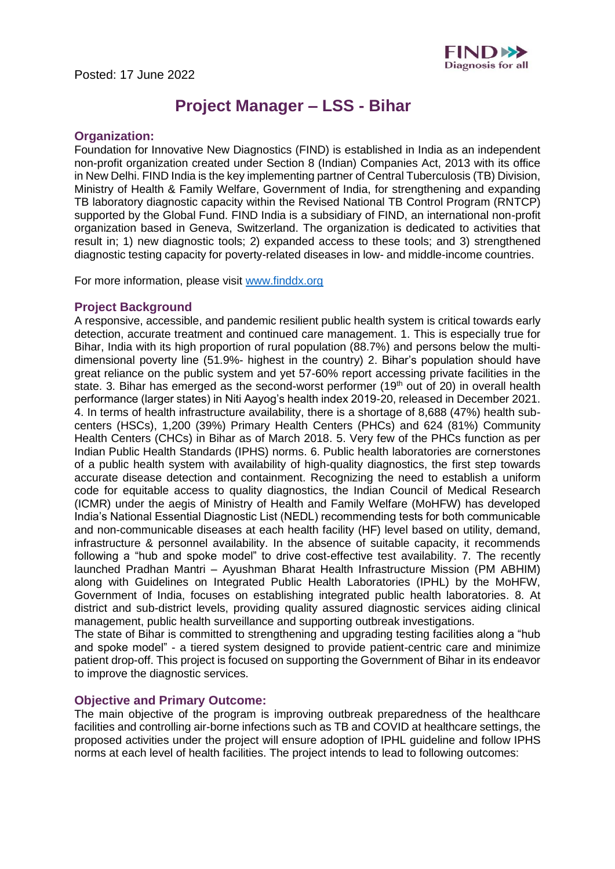

# **Project Manager – LSS - Bihar**

#### **Organization:**

Foundation for Innovative New Diagnostics (FIND) is established in India as an independent non-profit organization created under Section 8 (Indian) Companies Act, 2013 with its office in New Delhi. FIND India is the key implementing partner of Central Tuberculosis (TB) Division, Ministry of Health & Family Welfare, Government of India, for strengthening and expanding TB laboratory diagnostic capacity within the Revised National TB Control Program (RNTCP) supported by the Global Fund. FIND India is a subsidiary of FIND, an international non-profit organization based in Geneva, Switzerland. The organization is dedicated to activities that result in; 1) new diagnostic tools; 2) expanded access to these tools; and 3) strengthened diagnostic testing capacity for poverty-related diseases in low- and middle-income countries.

For more information, please visit [www.finddx.org](http://www.finddx.org/)

#### **Project Background**

A responsive, accessible, and pandemic resilient public health system is critical towards early detection, accurate treatment and continued care management. 1. This is especially true for Bihar, India with its high proportion of rural population (88.7%) and persons below the multidimensional poverty line (51.9%- highest in the country) 2. Bihar's population should have great reliance on the public system and yet 57-60% report accessing private facilities in the state. 3. Bihar has emerged as the second-worst performer ( $19<sup>th</sup>$  out of 20) in overall health performance (larger states) in Niti Aayog's health index 2019-20, released in December 2021. 4. In terms of health infrastructure availability, there is a shortage of 8,688 (47%) health subcenters (HSCs), 1,200 (39%) Primary Health Centers (PHCs) and 624 (81%) Community Health Centers (CHCs) in Bihar as of March 2018. 5. Very few of the PHCs function as per Indian Public Health Standards (IPHS) norms. 6. Public health laboratories are cornerstones of a public health system with availability of high-quality diagnostics, the first step towards accurate disease detection and containment. Recognizing the need to establish a uniform code for equitable access to quality diagnostics, the Indian Council of Medical Research (ICMR) under the aegis of Ministry of Health and Family Welfare (MoHFW) has developed India's National Essential Diagnostic List (NEDL) recommending tests for both communicable and non-communicable diseases at each health facility (HF) level based on utility, demand, infrastructure & personnel availability. In the absence of suitable capacity, it recommends following a "hub and spoke model" to drive cost-effective test availability. 7. The recently launched Pradhan Mantri – Ayushman Bharat Health Infrastructure Mission (PM ABHIM) along with Guidelines on Integrated Public Health Laboratories (IPHL) by the MoHFW, Government of India, focuses on establishing integrated public health laboratories. 8. At district and sub-district levels, providing quality assured diagnostic services aiding clinical management, public health surveillance and supporting outbreak investigations.

The state of Bihar is committed to strengthening and upgrading testing facilities along a "hub and spoke model" - a tiered system designed to provide patient-centric care and minimize patient drop-off. This project is focused on supporting the Government of Bihar in its endeavor to improve the diagnostic services.

## **Objective and Primary Outcome:**

The main objective of the program is improving outbreak preparedness of the healthcare facilities and controlling air-borne infections such as TB and COVID at healthcare settings, the proposed activities under the project will ensure adoption of IPHL guideline and follow IPHS norms at each level of health facilities. The project intends to lead to following outcomes: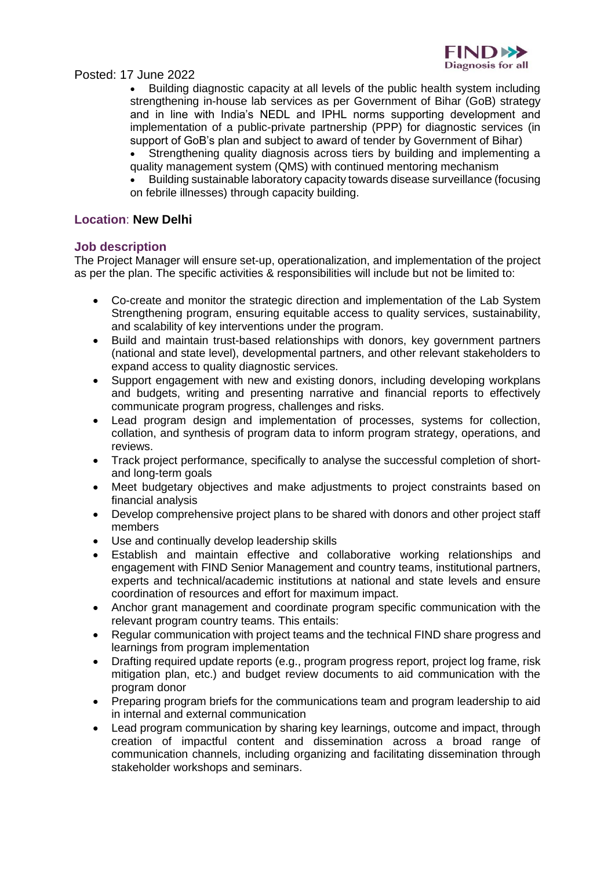

Posted: 17 June 2022

• Building diagnostic capacity at all levels of the public health system including strengthening in-house lab services as per Government of Bihar (GoB) strategy and in line with India's NEDL and IPHL norms supporting development and implementation of a public-private partnership (PPP) for diagnostic services (in support of GoB's plan and subject to award of tender by Government of Bihar)

• Strengthening quality diagnosis across tiers by building and implementing a quality management system (QMS) with continued mentoring mechanism

• Building sustainable laboratory capacity towards disease surveillance (focusing on febrile illnesses) through capacity building.

#### **Location**: **New Delhi**

#### **Job description**

The Project Manager will ensure set-up, operationalization, and implementation of the project as per the plan. The specific activities & responsibilities will include but not be limited to:

- Co-create and monitor the strategic direction and implementation of the Lab System Strengthening program, ensuring equitable access to quality services, sustainability, and scalability of key interventions under the program.
- Build and maintain trust-based relationships with donors, key government partners (national and state level), developmental partners, and other relevant stakeholders to expand access to quality diagnostic services.
- Support engagement with new and existing donors, including developing workplans and budgets, writing and presenting narrative and financial reports to effectively communicate program progress, challenges and risks.
- Lead program design and implementation of processes, systems for collection, collation, and synthesis of program data to inform program strategy, operations, and reviews.
- Track project performance, specifically to analyse the successful completion of shortand long-term goals
- Meet budgetary objectives and make adjustments to project constraints based on financial analysis
- Develop comprehensive project plans to be shared with donors and other project staff members
- Use and continually develop leadership skills
- Establish and maintain effective and collaborative working relationships and engagement with FIND Senior Management and country teams, institutional partners, experts and technical/academic institutions at national and state levels and ensure coordination of resources and effort for maximum impact.
- Anchor grant management and coordinate program specific communication with the relevant program country teams. This entails:
- Regular communication with project teams and the technical FIND share progress and learnings from program implementation
- Drafting required update reports (e.g., program progress report, project log frame, risk mitigation plan, etc.) and budget review documents to aid communication with the program donor
- Preparing program briefs for the communications team and program leadership to aid in internal and external communication
- Lead program communication by sharing key learnings, outcome and impact, through creation of impactful content and dissemination across a broad range of communication channels, including organizing and facilitating dissemination through stakeholder workshops and seminars.